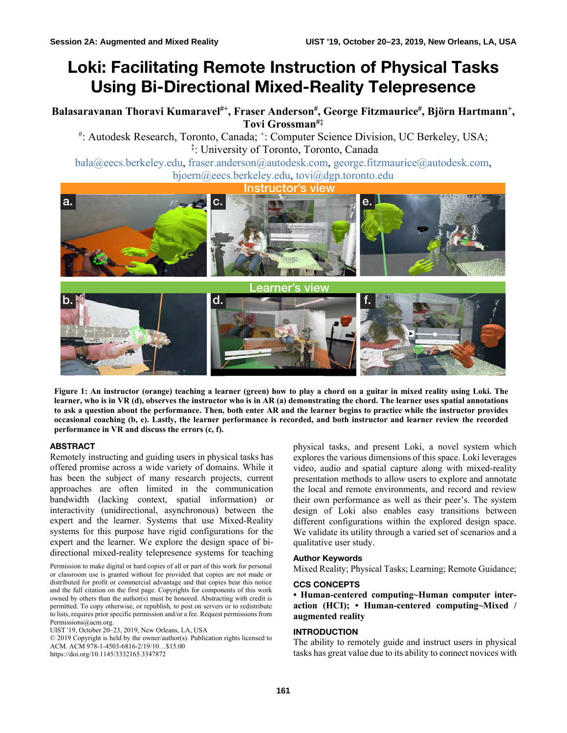# **Loki: Facilitating Remote Instruction of Physical Tasks Using Bi-Directional Mixed-Reality Telepresence**

# Balasaravanan Thoravi Kumaravel<sup>#+</sup>, Fraser Anderson<sup>#</sup>, George Fitzmaurice<sup>#</sup>, Björn Hartmann<sup>+</sup>, **Tovi Grossman#‡**

#: Autodesk Research, Toronto, Canada; <sup>+</sup>: Computer Science Division, UC Berkeley, USA; ‡ : University of Toronto, Toronto, Canada

 bjoern@eecs.berkeley.edu, tovi@dgp.toronto.edu [bala@eecs.berkeley.edu](mailto:bala@eecs.berkeley.edu), [fraser.anderson@autodesk.com](mailto:fraser.anderson@autodesk.com), [george.fitzmaurice@autodesk.com,](mailto:george.fitzmaurice@autodesk.com)



Figure 1: An instructor (orange) teaching a learner (green) how to play a chord on a guitar in mixed reality using Loki. The learner, who is in VR (d), observes the instructor who is in AR (a) demonstrating the chord. The learner uses spatial annotations  **to ask a question about the performance. Then, both enter AR and the learner begins to practice while the instructor provides occasional coaching (b, e). Lastly, the learner performance is recorded, and both instructor and learner review the recorded performance in VR and discuss the errors (c, f).** 

# **ABSTRACT**

 Remotely instructing and guiding users in physical tasks has has been the subject of many research projects, current approaches are often limited in the communication systems for this purpose have rigid configurations for the offered promise across a wide variety of domains. While it bandwidth (lacking context, spatial information) or interactivity (unidirectional, asynchronous) between the expert and the learner. Systems that use Mixed-Reality expert and the learner. We explore the design space of bidirectional mixed-reality telepresence systems for teaching

 Permission to make digital or hard copies of all or part of this work for personal or classroom use is granted without fee provided that copies are not made or distributed for profit or commercial advantage and that copies bear this notice and the full citation on the first page. Copyrights for components of this work owned by others than the author(s) must be honored. Abstracting with credit is permitted. To copy otherwise, or republish, to post on servers or to redistribute to lists, requires prior specific permission and/or a fee. Request permissions from [Permissions@acm.org.](mailto:Permissions@acm.org)

UIST '19, October 20–23, 2019, New Orleans, LA, USA

 © 2019 Copyright is held by the owner/author(s). Publication rights licensed to ACM. ACM [978-1-4503-6816-2/19/10…\\$15.00](https://978-1-4503-6816-2/19/10�$15.00) <https://doi.org/10.1145/3332165.3347872>

 physical tasks, and present Loki, a novel system which explores the various dimensions of this space. Loki leverages video, audio and spatial capture along with mixed-reality the local and remote environments, and record and review design of Loki also enables easy transitions between presentation methods to allow users to explore and annotate their own performance as well as their peer's. The system different configurations within the explored design space. We validate its utility through a varied set of scenarios and a qualitative user study.

## **Author Keywords**

Mixed Reality; Physical Tasks; Learning; Remote Guidance;

### **CCS CONCEPTS**

# **• Human-centered computing~Human computer interaction (HCI); • Human-centered computing~Mixed / augmented reality**

# **INTRODUCTION**

 The ability to remotely guide and instruct users in physical tasks has great value due to its ability to connect novices with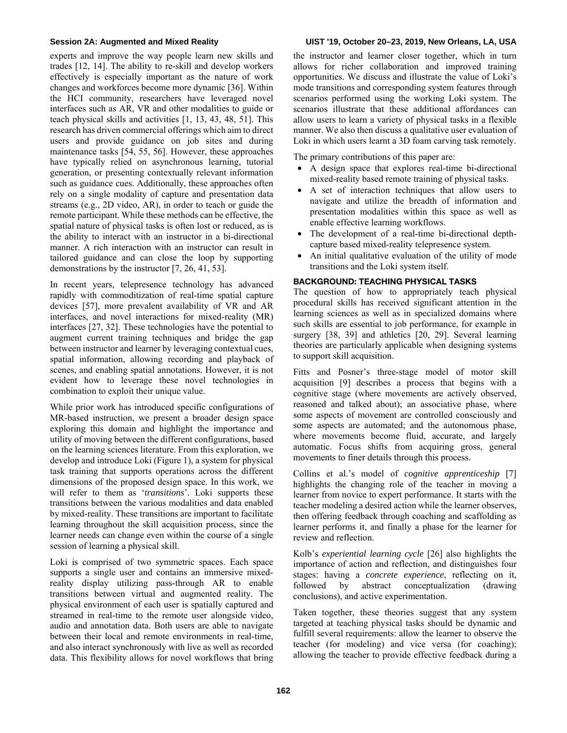experts and improve the way people learn new skills and trades [12, 14]. The ability to re-skill and develop workers users and provide guidance on job sites and during such as guidance cues. Additionally, these approaches often streams (e.g., 2D video, AR), in order to teach or guide the remote participant. While these methods can be effective, the spatial nature of physical tasks is often lost or reduced, as is the ability to interact with an instructor in a bi-directional manner. A rich interaction with an instructor can result in tailored guidance and can close the loop by supporting demonstrations by the instructor [7, 26, 41, 53]. effectively is especially important as the nature of work changes and workforces become more dynamic [36]. Within the HCI community, researchers have leveraged novel interfaces such as AR, VR and other modalities to guide or teach physical skills and activities [1, 13, 43, 48, 51]. This research has driven commercial offerings which aim to direct maintenance tasks [54, 55, 56]. However, these approaches have typically relied on asynchronous learning, tutorial generation, or presenting contextually relevant information rely on a single modality of capture and presentation data

 devices [57], more prevalent availability of VR and AR augment current training techniques and bridge the gap between instructor and learner by leveraging contextual cues, spatial information, allowing recording and playback of evident how to leverage these novel technologies in In recent years, telepresence technology has advanced rapidly with commoditization of real-time spatial capture interfaces, and novel interactions for mixed-reality (MR) interfaces [27, 32]. These technologies have the potential to scenes, and enabling spatial annotations. However, it is not combination to exploit their unique value.

 MR-based instruction, we present a broader design space exploring this domain and highlight the importance and utility of moving between the different configurations, based on the learning sciences literature. From this exploration, we develop and introduce Loki (Figure 1), a system for physical dimensions of the proposed design space. In this work, we will refer to them as '*transitions*'. Loki supports these transitions between the various modalities and data enabled by mixed-reality. These transitions are important to facilitate learner needs can change even within the course of a single While prior work has introduced specific configurations of task training that supports operations across the different learning throughout the skill acquisition process, since the session of learning a physical skill.

 Loki is comprised of two symmetric spaces. Each space reality display utilizing pass-through AR to enable transitions between virtual and augmented reality. The physical environment of each user is spatially captured and audio and annotation data. Both users are able to navigate between their local and remote environments in real-time, and also interact synchronously with live as well as recorded supports a single user and contains an immersive mixedstreamed in real-time to the remote user alongside video, data. This flexibility allows for novel workflows that bring

# **Session 2A: Augmented and Mixed Reality UIST '19, October 20–23, 2019, New Orleans, LA, USA**

 opportunities. We discuss and illustrate the value of Loki's scenarios performed using the working Loki system. The allow users to learn a variety of physical tasks in a flexible manner. We also then discuss a qualitative user evaluation of the instructor and learner closer together, which in turn allows for richer collaboration and improved training mode transitions and corresponding system features through scenarios illustrate that these additional affordances can Loki in which users learnt a 3D foam carving task remotely.

The primary contributions of this paper are:

- • A design space that explores real-time bi-directional mixed-reality based remote training of physical tasks.
- navigate and utilize the breadth of information and • A set of interaction techniques that allow users to presentation modalities within this space as well as enable effective learning workflows.
- • The development of a real-time bi-directional depthcapture based mixed-reality telepresence system.
- • An initial qualitative evaluation of the utility of mode transitions and the Loki system itself.

# **BACKGROUND: TEACHING PHYSICAL TASKS**

 surgery [38, 39] and athletics [20, 29]. Several learning theories are particularly applicable when designing systems The question of how to appropriately teach physical procedural skills has received significant attention in the learning sciences as well as in specialized domains where such skills are essential to job performance, for example in to support skill acquisition.

 Fitts and Posner's three-stage model of motor skill some aspects of movement are controlled consciously and some aspects are automated; and the autonomous phase, automatic. Focus shifts from acquiring gross, general movements to finer details through this process. acquisition [9] describes a process that begins with a cognitive stage (where movements are actively observed, reasoned and talked about); an associative phase, where where movements become fluid, accurate, and largely

 highlights the changing role of the teacher in moving a learner from novice to expert performance. It starts with the learner performs it, and finally a phase for the learner for Collins et al.'s model of *cognitive apprenticeship* [7] teacher modeling a desired action while the learner observes, then offering feedback through coaching and scaffolding as review and reflection.

 importance of action and reflection, and distinguishes four stages: having a *concrete experience*, reflecting on it,  $by$ Kolb's *experiential learning cycle* [26] also highlights the followed by abstract conceptualization (drawing conclusions), and active experimentation.

 Taken together, these theories suggest that any system allowing the teacher to provide effective feedback during a targeted at teaching physical tasks should be dynamic and fulfill several requirements: allow the learner to observe the teacher (for modeling) and vice versa (for coaching);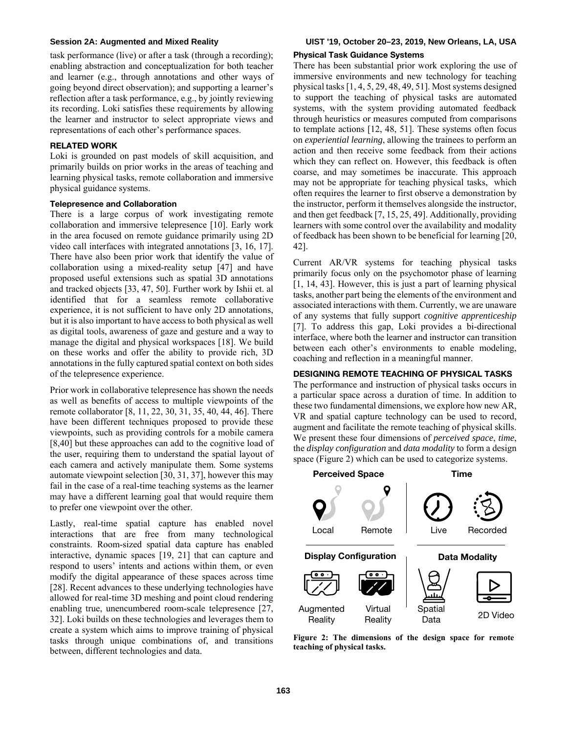and learner (e.g., through annotations and other ways of going beyond direct observation); and supporting a learner's its recording. Loki satisfies these requirements by allowing task performance (live) or after a task (through a recording); enabling abstraction and conceptualization for both teacher reflection after a task performance, e.g., by jointly reviewing the learner and instructor to select appropriate views and representations of each other's performance spaces.

### **RELATED WORK**

 learning physical tasks, remote collaboration and immersive Loki is grounded on past models of skill acquisition, and primarily builds on prior works in the areas of teaching and physical guidance systems.

# **Telepresence and Collaboration**

 There is a large corpus of work investigating remote There have also been prior work that identify the value of collaboration using a mixed-reality setup [47] and have proposed useful extensions such as spatial 3D annotations and tracked objects [33, 47, 50]. Further work by Ishii et. al identified that for a seamless remote collaborative experience, it is not sufficient to have only 2D annotations, as digital tools, awareness of gaze and gesture and a way to manage the digital and physical workspaces [18]. We build on these works and offer the ability to provide rich, 3D collaboration and immersive telepresence [10]. Early work in the area focused on remote guidance primarily using 2D video call interfaces with integrated annotations [3, 16, 17]. but it is also important to have access to both physical as well annotations in the fully captured spatial context on both sides of the telepresence experience.

 Prior work in collaborative telepresence has shown the needs viewpoints, such as providing controls for a mobile camera [8,40] but these approaches can add to the cognitive load of the user, requiring them to understand the spatial layout of automate viewpoint selection [30, 31, 37], however this may may have a different learning goal that would require them as well as benefits of access to multiple viewpoints of the remote collaborator [8, 11, 22, 30, 31, 35, 40, 44, 46]. There have been different techniques proposed to provide these each camera and actively manipulate them. Some systems fail in the case of a real-time teaching systems as the learner to prefer one viewpoint over the other.

 Lastly, real-time spatial capture has enabled novel interactions that are free from many technological modify the digital appearance of these spaces across time [28]. Recent advances to these underlying technologies have enabling true, unencumbered room-scale telepresence [27, 32]. Loki builds on these technologies and leverages them to tasks through unique combinations of, and transitions constraints. Room-sized spatial data capture has enabled interactive, dynamic spaces [19, 21] that can capture and respond to users' intents and actions within them, or even allowed for real-time 3D meshing and point cloud rendering create a system which aims to improve training of physical between, different technologies and data.

## **Session 2A: Augmented and Mixed Reality UIST '19, October 20–23, 2019, New Orleans, LA, USA**

#### **Physical Task Guidance Systems**

 There has been substantial prior work exploring the use of physical tasks [1, 4, 5, 29, 48, 49, 51]. Most systems designed systems, with the system providing automated feedback to template actions [12, 48, 51]. These systems often focus action and then receive some feedback from their actions which they can reflect on. However, this feedback is often coarse, and may sometimes be inaccurate. This approach may not be appropriate for teaching physical tasks, which often requires the learner to first observe a demonstration by the instructor, perform it themselves alongside the instructor, and then get feedback [7, 15, 25, 49]. Additionally, providing learners with some control over the availability and modality of feedback has been shown to be beneficial for learning [20, immersive environments and new technology for teaching to support the teaching of physical tasks are automated through heuristics or measures computed from comparisons on *experiential learning*, allowing the trainees to perform an 42].

 primarily focus only on the psychomotor phase of learning [1, 14, 43]. However, this is just a part of learning physical of any systems that fully support *cognitive apprenticeship*  interface, where both the learner and instructor can transition coaching and reflection in a meaningful manner. Current AR/VR systems for teaching physical tasks tasks, another part being the elements of the environment and associated interactions with them. Currently, we are unaware [7]. To address this gap, Loki provides a bi-directional between each other's environments to enable modeling,

### **DESIGNING REMOTE TEACHING OF PHYSICAL TASKS**

 The performance and instruction of physical tasks occurs in these two fundamental dimensions, we explore how new AR, VR and spatial capture technology can be used to record, We present these four dimensions of *perceived space*, *time*, the *display configuration* and *data modality* to form a design a particular space across a duration of time. In addition to augment and facilitate the remote teaching of physical skills. space (Figure 2) which can be used to categorize systems.



 **Figure 2: The dimensions of the design space for remote teaching of physical tasks.**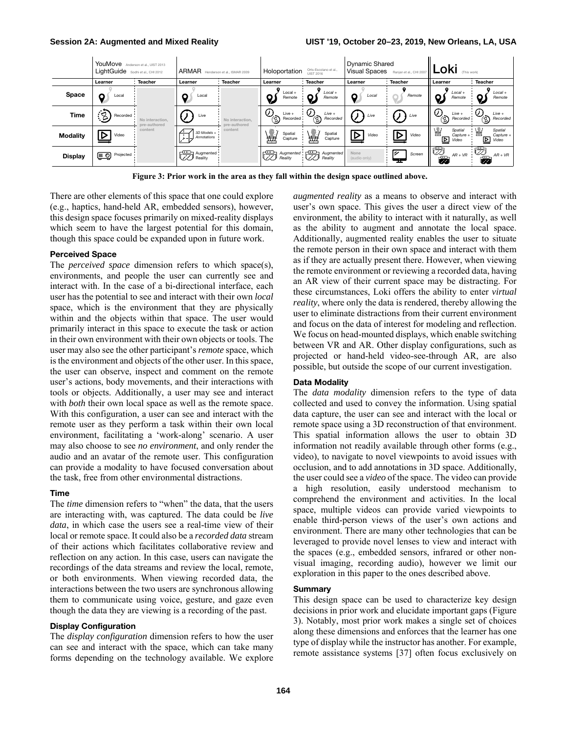|                 | YouMove Anderson et al., UIST 2013<br>LightGuide Sodhi et al., CHI 2012 |                                            | ARMAR Henderson et al., ISMAR 2009 |                                            | Orts-Escolano et al.,<br>Holoportation<br><b>UIST 2016</b> |                                                    | Dynamic Shared<br><b>Visual Spaces</b><br>Ranjan et al., CHI 200 |                                      | Loki<br>(This work)                       |                                    |
|-----------------|-------------------------------------------------------------------------|--------------------------------------------|------------------------------------|--------------------------------------------|------------------------------------------------------------|----------------------------------------------------|------------------------------------------------------------------|--------------------------------------|-------------------------------------------|------------------------------------|
|                 | Learner                                                                 | <b>Teacher</b>                             | Learner                            | <b>Teacher</b>                             | Learner                                                    | Teacher                                            | Learner                                                          | <b>Teacher</b>                       | Learner                                   | <b>Teacher</b>                     |
| Space           | О.<br>Local                                                             | No interaction,<br>pre-authored<br>content | Q<br>Local                         | No interaction.<br>pre-authored<br>content | Local +<br>୍ତ<br>Remote                                    | $Local +$<br>n<br>Remote                           | ο<br>Local                                                       | Remote                               | $Local +$<br>Q<br>Remote                  | $Local +$<br>Remote                |
| Time            | ্ঠ<br>Recorded                                                          |                                            | Live                               |                                            | . Q.-<br>$Live +$<br>'ର<br>Recorded                        | Q)<br>$Live +$<br>Recorded<br>'S)                  | Live                                                             | $\boldsymbol{J}$<br>Live             | ு இ<br>$Live +$<br>Recorded               | Ø)<br>Live +<br>Recorded<br>಄      |
| <b>Modality</b> | ID<br>Video                                                             |                                            | 3D Models +<br>Annotations         |                                            | Spatial<br>Щ<br>Capture                                    | $\stackrel{\bullet}{\Delta}$<br>Spatial<br>Capture | $\overline{\triangleright}$<br>Video                             | $\overline{\triangleright}$<br>Video | ₩<br>Spatial<br>$Capture +$<br>⊠<br>Video | Spatial<br>Capture +<br>囜<br>Video |
| <b>Display</b>  | <b>EQ</b> Projected                                                     |                                            | Reality                            |                                            | Augment Reality                                            | Augmented <b>FILE</b> Augmented<br>Reality         | None<br>(audio only)                                             | v<br>Screen                          | ₩<br>$AR + VR$<br>ÿ                       | 焛<br>$AR + VR$<br>ÿ                |

 **Figure 3: Prior work in the area as they fall within the design space outlined above.** 

 (e.g., haptics, hand-held AR, embedded sensors), however, which seem to have the largest potential for this domain, There are other elements of this space that one could explore this design space focuses primarily on mixed-reality displays though this space could be expanded upon in future work.

# **Perceived Space**

 The *perceived space* dimension refers to which space(s), environments, and people the user can currently see and space, which is the environment that they are physically within and the objects within that space. The user would in their own environment with their own objects or tools. The is the environment and objects of the other user. In this space, user's actions, body movements, and their interactions with with *both* their own local space as well as the remote space. With this configuration, a user can see and interact with the remote user as they perform a task within their own local audio and an avatar of the remote user. This configuration can provide a modality to have focused conversation about interact with. In the case of a bi-directional interface, each user has the potential to see and interact with their own *local*  primarily interact in this space to execute the task or action user may also see the other participant's *remote* space, which the user can observe, inspect and comment on the remote tools or objects. Additionally, a user may see and interact environment, facilitating a 'work-along' scenario. A user may also choose to see *no environment*, and only render the the task, free from other environmental distractions.

# **Time**

 The *time* dimension refers to "when" the data, that the users *data*, in which case the users see a real-time view of their of their actions which facilitates collaborative review and or both environments. When viewing recorded data, the interactions between the two users are synchronous allowing are interacting with, was captured. The data could be *live*  local or remote space. It could also be a *recorded data* stream reflection on any action. In this case, users can navigate the recordings of the data streams and review the local, remote, them to communicate using voice, gesture, and gaze even though the data they are viewing is a recording of the past.

# **Display Configuration**

 forms depending on the technology available. We explore The *display configuration* dimension refers to how the user can see and interact with the space, which can take many

 user's own space. This gives the user a direct view of the environment, the ability to interact with it naturally, as well as the ability to augment and annotate the local space. as if they are actually present there. However, when viewing and focus on the data of interest for modeling and reflection. between VR and AR. Other display configurations, such as *augmented reality* as a means to observe and interact with Additionally, augmented reality enables the user to situate the remote person in their own space and interact with them the remote environment or reviewing a recorded data, having an AR view of their current space may be distracting. For these circumstances, Loki offers the ability to enter *virtual reality*, where only the data is rendered, thereby allowing the user to eliminate distractions from their current environment We focus on head-mounted displays, which enable switching projected or hand-held video-see-through AR, are also possible, but outside the scope of our current investigation.

# **Data Modality**

 collected and used to convey the information. Using spatial data capture, the user can see and interact with the local or remote space using a 3D reconstruction of that environment. This spatial information allows the user to obtain 3D video), to navigate to novel viewpoints to avoid issues with occlusion, and to add annotations in 3D space. Additionally, the user could see a *video* of the space. The video can provide comprehend the environment and activities. In the local enable third-person views of the user's own actions and environment. There are many other technologies that can be leveraged to provide novel lenses to view and interact with visual imaging, recording audio), however we limit our exploration in this paper to the ones described above. The *data modality* dimension refers to the type of data information not readily available through other forms (e.g., a high resolution, easily understood mechanism to space, multiple videos can provide varied viewpoints to the spaces (e.g., embedded sensors, infrared or other non-

# **Summary**

 This design space can be used to characterize key design decisions in prior work and elucidate important gaps (Figure 3). Notably, most prior work makes a single set of choices along these dimensions and enforces that the learner has one type of display while the instructor has another. For example, remote assistance systems [37] often focus exclusively on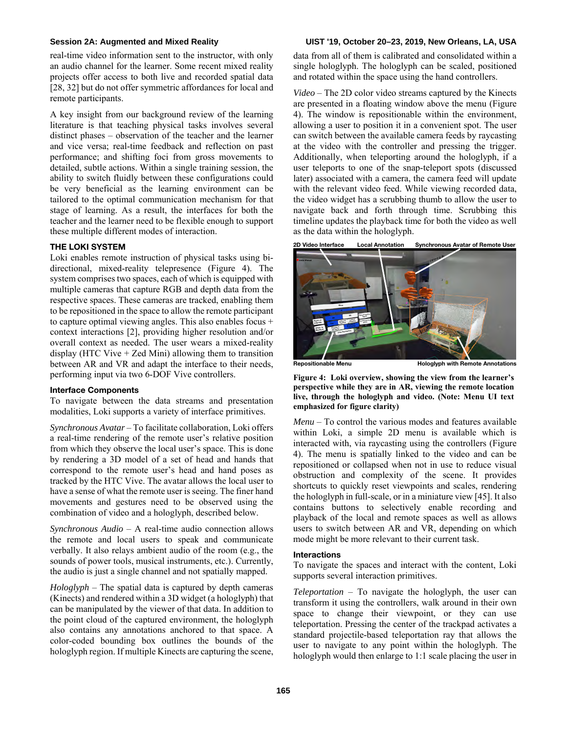real-time video information sent to the instructor, with only an audio channel for the learner. Some recent mixed reality [28, 32] but do not offer symmetric affordances for local and projects offer access to both live and recorded spatial data remote participants.

 A key insight from our background review of the learning performance; and shifting foci from gross movements to detailed, subtle actions. Within a single training session, the ability to switch fluidly between these configurations could tailored to the optimal communication mechanism for that stage of learning. As a result, the interfaces for both the teacher and the learner need to be flexible enough to support literature is that teaching physical tasks involves several distinct phases – observation of the teacher and the learner and vice versa; real-time feedback and reflection on past be very beneficial as the learning environment can be these multiple different modes of interaction.

# **THE LOKI SYSTEM**

 Loki enables remote instruction of physical tasks using bi- multiple cameras that capture RGB and depth data from the to be repositioned in the space to allow the remote participant context interactions [2], providing higher resolution and/or display (HTC Vive + Zed Mini) allowing them to transition directional, mixed-reality telepresence (Figure 4). The system comprises two spaces, each of which is equipped with respective spaces. These cameras are tracked, enabling them to capture optimal viewing angles. This also enables focus + overall context as needed. The user wears a mixed-reality between AR and VR and adapt the interface to their needs, performing input via two 6-DOF Vive controllers.

# **Interface Components**

To navigate between the data streams and presentation modalities, Loki supports a variety of interface primitives.

 *Synchronous Avatar* – To facilitate collaboration, Loki offers a real-time rendering of the remote user's relative position by rendering a 3D model of a set of head and hands that correspond to the remote user's head and hand poses as tracked by the HTC Vive. The avatar allows the local user to have a sense of what the remote user is seeing. The finer hand movements and gestures need to be observed using the from which they observe the local user's space. This is done combination of video and a hologlyph, described below.

 *Synchronous Audio* – A real-time audio connection allows verbally. It also relays ambient audio of the room (e.g., the the remote and local users to speak and communicate sounds of power tools, musical instruments, etc.). Currently, the audio is just a single channel and not spatially mapped.

 *Hologlyph* – The spatial data is captured by depth cameras (Kinects) and rendered within a 3D widget (a hologlyph) that the point cloud of the captured environment, the hologlyph also contains any annotations anchored to that space. A color-coded bounding box outlines the bounds of the can be manipulated by the viewer of that data. In addition to hologlyph region. If multiple Kinects are capturing the scene,

# **Session 2A: Augmented and Mixed Reality UIST '19, October 20–23, 2019, New Orleans, LA, USA**

 data from all of them is calibrated and consolidated within a single hologlyph. The hologlyph can be scaled, positioned and rotated within the space using the hand controllers.

 *Video* – The 2D color video streams captured by the Kinects are presented in a floating window above the menu (Figure allowing a user to position it in a convenient spot. The user at the video with the controller and pressing the trigger. user teleports to one of the snap-teleport spots (discussed later) associated with a camera, the camera feed will update the video widget has a scrubbing thumb to allow the user to navigate back and forth through time. Scrubbing this as the data within the hologlyph. 4). The window is repositionable within the environment, can switch between the available camera feeds by raycasting Additionally, when teleporting around the hologlyph, if a with the relevant video feed. While viewing recorded data, timeline updates the playback time for both the video as well





Repositionable Menu **Hologlyph with Remote Annotations** 

 **Figure 4: Loki overview, showing the view from the learner's perspective while they are in AR, viewing the remote location live, through the hologlyph and video. (Note: Menu UI text emphasized for figure clarity)**

 *Menu* – To control the various modes and features available within Loki, a simple 2D menu is available which is interacted with, via raycasting using the controllers (Figure 4). The menu is spatially linked to the video and can be repositioned or collapsed when not in use to reduce visual the hologlyph in full-scale, or in a miniature view [45]. It also contains buttons to selectively enable recording and playback of the local and remote spaces as well as allows users to switch between AR and VR, depending on which mode might be more relevant to their current task. obstruction and complexity of the scene. It provides shortcuts to quickly reset viewpoints and scales, rendering

#### **Interactions**

To navigate the spaces and interact with the content, Loki supports several interaction primitives.

 *Teleportation* – To navigate the hologlyph, the user can transform it using the controllers, walk around in their own space to change their viewpoint, or they can use user to navigate to any point within the hologlyph. The hologlyph would then enlarge to 1:1 scale placing the user in teleportation. Pressing the center of the trackpad activates a standard projectile-based teleportation ray that allows the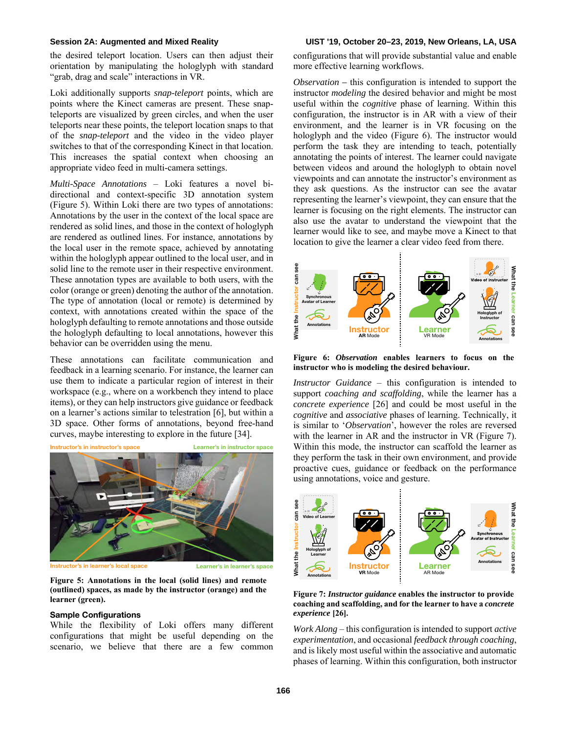the desired teleport location. Users can then adjust their orientation by manipulating the hologlyph with standard "grab, drag and scale" interactions in VR.

 Loki additionally supports *snap-teleport* points, which are teleports are visualized by green circles, and when the user teleports near these points, the teleport location snaps to that of the *snap-teleport* and the video in the video player switches to that of the corresponding Kinect in that location. This increases the spatial context when choosing an appropriate video feed in multi-camera settings. points where the Kinect cameras are present. These snap-

 rendered as solid lines, and those in the context of hologlyph are rendered as outlined lines. For instance, annotations by within the hologlyph appear outlined to the local user, and in These annotation types are available to both users, with the color (orange or green) denoting the author of the annotation. hologlyph defaulting to remote annotations and those outside behavior can be overridden using the menu. *Multi-Space Annotations* – Loki features a novel bidirectional and context-specific 3D annotation system (Figure 5). Within Loki there are two types of annotations: Annotations by the user in the context of the local space are the local user in the remote space, achieved by annotating solid line to the remote user in their respective environment. The type of annotation (local or remote) is determined by context, with annotations created within the space of the the hologlyph defaulting to local annotations, however this

 feedback in a learning scenario. For instance, the learner can use them to indicate a particular region of interest in their items), or they can help instructors give guidance or feedback on a learner's actions similar to telestration [6], but within a 3D space. Other forms of annotations, beyond free-hand These annotations can facilitate communication and workspace (e.g., where on a workbench they intend to place curves, maybe interesting to explore in the future [34].



Learner's in learner's space

 **(outlined) spaces, as made by the instructor (orange) and the Figure 5: Annotations in the local (solid lines) and remote learner (green).**

#### **Sample Configurations**

 While the flexibility of Loki offers many different configurations that might be useful depending on the scenario, we believe that there are a few common

## **Session 2A: Augmented and Mixed Reality UIST '19, October 20–23, 2019, New Orleans, LA, USA**

configurations that will provide substantial value and enable more effective learning workflows.

 instructor *modeling* the desired behavior and might be most useful within the *cognitive* phase of learning. Within this configuration, the instructor is in AR with a view of their environment, and the learner is in VR focusing on the hologlyph and the video (Figure 6). The instructor would perform the task they are intending to teach, potentially annotating the points of interest. The learner could navigate between videos and around the hologlyph to obtain novel also use the avatar to understand the viewpoint that the learner would like to see, and maybe move a Kinect to that *Observation –* this configuration is intended to support the viewpoints and can annotate the instructor's environment as they ask questions. As the instructor can see the avatar representing the learner's viewpoint, they can ensure that the learner is focusing on the right elements. The instructor can location to give the learner a clear video feed from there.



 **Figure 6:** *Observation* **enables learners to focus on the instructor who is modeling the desired behaviour.**

 *Instructor Guidance* – this configuration is intended to *concrete experience* [26] and could be most useful in the with the learner in AR and the instructor in VR (Figure 7). Within this mode, the instructor can scaffold the learner as they perform the task in their own environment, and provide using annotations, voice and gesture. support *coaching and scaffolding*, while the learner has a *cognitive* and *associative* phases of learning. Technically, it is similar to '*Observation*', however the roles are reversed proactive cues, guidance or feedback on the performance



**Figure 7:** *Instructor guidance* **enables the instructor to provide coaching and scaffolding, and for the learner to have a** *concrete experience* **[26].** 

 and is likely most useful within the associative and automatic phases of learning. Within this configuration, both instructor *Work Along* – this configuration is intended to support *active experimentation*, and occasional *feedback through coaching*,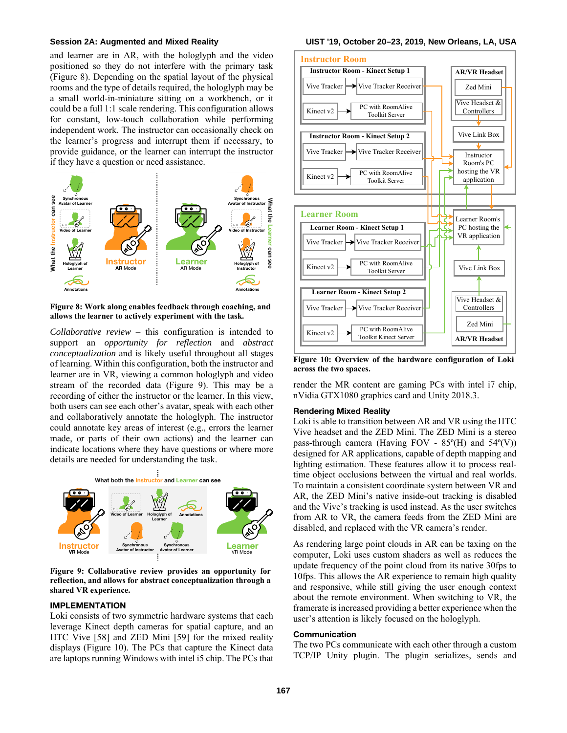and learner are in AR, with the hologlyph and the video rooms and the type of details required, the hologlyph may be a small world-in-miniature sitting on a workbench, or it could be a full 1:1 scale rendering. This configuration allows if they have a question or need assistance. positioned so they do not interfere with the primary task (Figure 8). Depending on the spatial layout of the physical for constant, low-touch collaboration while performing independent work. The instructor can occasionally check on the learner's progress and interrupt them if necessary, to provide guidance, or the learner can interrupt the instructor



 **allows the learner to actively experiment with the task. Figure 8: Work along enables feedback through coaching, and** 

 *Collaborative review* – this configuration is intended to support an *opportunity for reflection* and *abstract*  of learning. Within this configuration, both the instructor and learner are in VR, viewing a common hologlyph and video stream of the recorded data (Figure 9). This may be a recording of either the instructor or the learner. In this view, could annotate key areas of interest (e.g., errors the learner indicate locations where they have questions or where more details are needed for understanding the task. *conceptualization* and is likely useful throughout all stages both users can see each other's avatar, speak with each other and collaboratively annotate the hologlyph. The instructor made, or parts of their own actions) and the learner can



 **reflection, and allows for abstract conceptualization through a Figure 9: Collaborative review provides an opportunity for shared VR experience.**

### **IMPLEMENTATION**

 leverage Kinect depth cameras for spatial capture, and an HTC Vive [58] and ZED Mini [59] for the mixed reality displays (Figure 10). The PCs that capture the Kinect data are laptops running Windows with intel i5 chip. The PCs that Loki consists of two symmetric hardware systems that each



**Figure 10: Overview of the hardware configuration of Loki across the two spaces.**

 render the MR content are gaming PCs with intel i7 chip, nVidia GTX1080 graphics card and Unity 2018.3.

## **Rendering Mixed Reality**

 Loki is able to transition between AR and VR using the HTC Vive headset and the ZED Mini. The ZED Mini is a stereo pass-through camera (Having FOV -  $85^{\circ}$ (H) and  $54^{\circ}$ (V)) designed for AR applications, capable of depth mapping and time object occlusions between the virtual and real worlds. To maintain a consistent coordinate system between VR and AR, the ZED Mini's native inside-out tracking is disabled from AR to VR, the camera feeds from the ZED Mini are lighting estimation. These features allow it to process realand the Vive's tracking is used instead. As the user switches disabled, and replaced with the VR camera's render.

 As rendering large point clouds in AR can be taxing on the computer, Loki uses custom shaders as well as reduces the update frequency of the point cloud from its native 30fps to 10fps. This allows the AR experience to remain high quality and responsive, while still giving the user enough context about the remote environment. When switching to VR, the framerate is increased providing a better experience when the user's attention is likely focused on the hologlyph.

#### **Communication**

 The two PCs communicate with each other through a custom TCP/IP Unity plugin. The plugin serializes, sends and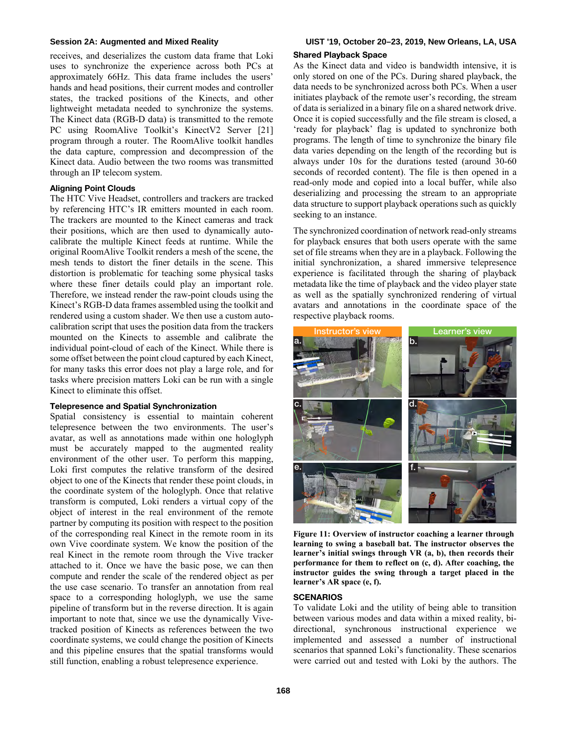receives, and deserializes the custom data frame that Loki uses to synchronize the experience across both PCs at approximately 66Hz. This data frame includes the users' hands and head positions, their current modes and controller lightweight metadata needed to synchronize the systems. PC using RoomAlive Toolkit's KinectV2 Server [21] program through a router. The RoomAlive toolkit handles Kinect data. Audio between the two rooms was transmitted states, the tracked positions of the Kinects, and other The Kinect data (RGB-D data) is transmitted to the remote the data capture, compression and decompression of the through an IP telecom system.

# **Aligning Point Clouds**

 The HTC Vive Headset, controllers and trackers are tracked The trackers are mounted to the Kinect cameras and track their positions, which are then used to dynamically auto- original RoomAlive Toolkit renders a mesh of the scene, the mesh tends to distort the finer details in the scene. This where these finer details could play an important role. Therefore, we instead render the raw-point clouds using the Kinect's RGB-D data frames assembled using the toolkit and rendered using a custom shader. We then use a custom auto- calibration script that uses the position data from the trackers mounted on the Kinects to assemble and calibrate the individual point-cloud of each of the Kinect. While there is for many tasks this error does not play a large role, and for tasks where precision matters Loki can be run with a single by referencing HTC's IR emitters mounted in each room. calibrate the multiple Kinect feeds at runtime. While the distortion is problematic for teaching some physical tasks some offset between the point cloud captured by each Kinect, Kinect to eliminate this offset.

#### **Telepresence and Spatial Synchronization**

 Spatial consistency is essential to maintain coherent avatar, as well as annotations made within one hologlyph environment of the other user. To perform this mapping, object to one of the Kinects that render these point clouds, in the coordinate system of the hologlyph. Once that relative transform is computed, Loki renders a virtual copy of the object of interest in the real environment of the remote of the corresponding real Kinect in the remote room in its own Vive coordinate system. We know the position of the real Kinect in the remote room through the Vive tracker attached to it. Once we have the basic pose, we can then compute and render the scale of the rendered object as per space to a corresponding hologlyph, we use the same pipeline of transform but in the reverse direction. It is again tracked position of Kinects as references between the two coordinate systems, we could change the position of Kinects telepresence between the two environments. The user's must be accurately mapped to the augmented reality Loki first computes the relative transform of the desired partner by computing its position with respect to the position the use case scenario. To transfer an annotation from real important to note that, since we use the dynamically Viveand this pipeline ensures that the spatial transforms would still function, enabling a robust telepresence experience.

# **Session 2A: Augmented and Mixed Reality UIST '19, October 20–23, 2019, New Orleans, LA, USA**

# **Shared Playback Space**

 As the Kinect data and video is bandwidth intensive, it is only stored on one of the PCs. During shared playback, the initiates playback of the remote user's recording, the stream Once it is copied successfully and the file stream is closed, a 'ready for playback' flag is updated to synchronize both programs. The length of time to synchronize the binary file data varies depending on the length of the recording but is always under 10s for the durations tested (around 30-60 seconds of recorded content). The file is then opened in a read-only mode and copied into a local buffer, while also data structure to support playback operations such as quickly data needs to be synchronized across both PCs. When a user of data is serialized in a binary file on a shared network drive. deserializing and processing the stream to an appropriate seeking to an instance.

 for playback ensures that both users operate with the same set of file streams when they are in a playback. Following the initial synchronization, a shared immersive telepresence experience is facilitated through the sharing of playback as well as the spatially synchronized rendering of virtual The synchronized coordination of network read-only streams metadata like the time of playback and the video player state avatars and annotations in the coordinate space of the respective playback rooms.



 **Figure 11: Overview of instructor coaching a learner through learning to swing a baseball bat. The instructor observes the learner's initial swings through VR (a, b), then records their performance for them to reflect on (c, d). After coaching, the learner's AR space (e, f). instructor guides the swing through a target placed in the**

#### **SCENARIOS**

 To validate Loki and the utility of being able to transition between various modes and data within a mixed reality, bi- implemented and assessed a number of instructional were carried out and tested with Loki by the authors. The directional, synchronous instructional experience we scenarios that spanned Loki's functionality. These scenarios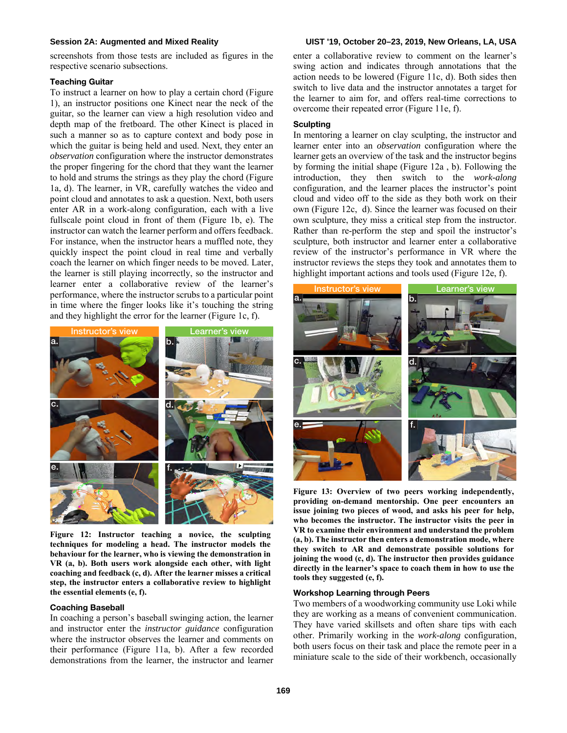screenshots from those tests are included as figures in the respective scenario subsections.

# **Teaching Guitar**

 To instruct a learner on how to play a certain chord (Figure 1), an instructor positions one Kinect near the neck of the such a manner so as to capture context and body pose in which the guitar is being held and used. Next, they enter an 1a, d). The learner, in VR, carefully watches the video and point cloud and annotates to ask a question. Next, both users enter AR in a work-along configuration, each with a live fullscale point cloud in front of them (Figure 1b, e). The instructor can watch the learner perform and offers feedback. quickly inspect the point cloud in real time and verbally coach the learner on which finger needs to be moved. Later, the learner is still playing incorrectly, so the instructor and performance, where the instructor scrubs to a particular point in time where the finger looks like it's touching the string and they highlight the error for the learner (Figure 1c, f). guitar, so the learner can view a high resolution video and depth map of the fretboard. The other Kinect is placed in *observation* configuration where the instructor demonstrates the proper fingering for the chord that they want the learner to hold and strums the strings as they play the chord (Figure For instance, when the instructor hears a muffled note, they learner enter a collaborative review of the learner's



 **behaviour for the learner, who is viewing the demonstration in VR (a, b). Both users work alongside each other, with light coaching and feedback (c, d). After the learner misses a critical step, the instructor enters a collaborative review to highlight Figure 12: Instructor teaching a novice, the sculpting techniques for modeling a head. The instructor models the the essential elements (e, f).**

#### **Coaching Baseball**

 and instructor enter the *instructor guidance* configuration demonstrations from the learner, the instructor and learner In coaching a person's baseball swinging action, the learner where the instructor observes the learner and comments on their performance (Figure 11a, b). After a few recorded

### **Session 2A: Augmented and Mixed Reality UIST '19, October 20–23, 2019, New Orleans, LA, USA**

 switch to live data and the instructor annotates a target for the learner to aim for, and offers real-time corrections to overcome their repeated error (Figure 11e, f). enter a collaborative review to comment on the learner's swing action and indicates through annotations that the action needs to be lowered (Figure 11c, d). Both sides then

### **Sculpting**

 In mentoring a learner on clay sculpting, the instructor and by forming the initial shape (Figure 12a , b). Following the cloud and video off to the side as they both work on their own sculpture, they miss a critical step from the instructor. sculpture, both instructor and learner enter a collaborative instructor reviews the steps they took and annotates them to highlight important actions and tools used (Figure 12e, f). learner enter into an *observation* configuration where the learner gets an overview of the task and the instructor begins introduction, they then switch to the *work-along*  configuration, and the learner places the instructor's point own (Figure 12c, d). Since the learner was focused on their Rather than re-perform the step and spoil the instructor's review of the instructor's performance in VR where the



 **Figure 13: Overview of two peers working independently, providing on-demand mentorship. One peer encounters an issue joining two pieces of wood, and asks his peer for help, who becomes the instructor. The instructor visits the peer in VR to examine their environment and understand the problem (a, b). The instructor then enters a demonstration mode, where directly in the learner's space to coach them in how to use the they switch to AR and demonstrate possible solutions for joining the wood (c, d). The instructor then provides guidance tools they suggested (e, f).** 

#### **Workshop Learning through Peers**

 Two members of a woodworking community use Loki while they are working as a means of convenient communication. other. Primarily working in the *work-along* configuration, miniature scale to the side of their workbench, occasionally They have varied skillsets and often share tips with each both users focus on their task and place the remote peer in a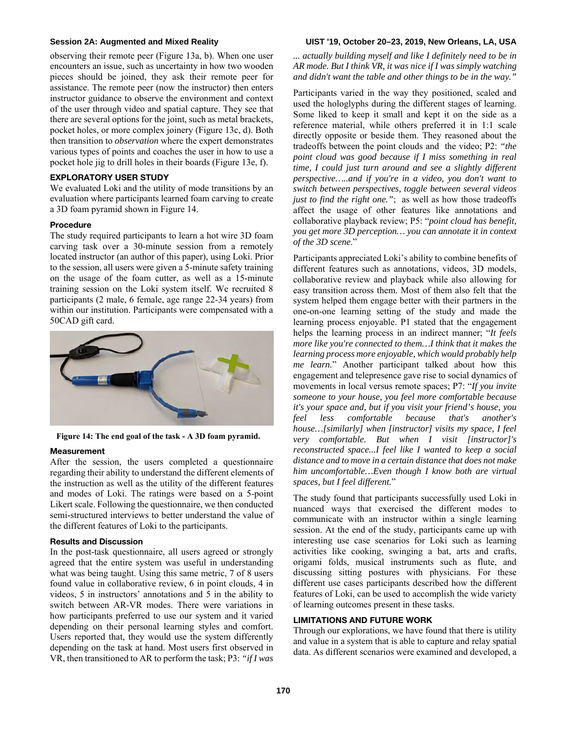observing their remote peer (Figure 13a, b). When one user instructor guidance to observe the environment and context then transition to *observation* where the expert demonstrates various types of points and coaches the user in how to use a encounters an issue, such as uncertainty in how two wooden pieces should be joined, they ask their remote peer for assistance. The remote peer (now the instructor) then enters of the user through video and spatial capture. They see that there are several options for the joint, such as metal brackets, pocket holes, or more complex joinery (Figure 13c, d). Both pocket hole jig to drill holes in their boards (Figure 13e, f).

# **EXPLORATORY USER STUDY**

 We evaluated Loki and the utility of mode transitions by an a 3D foam pyramid shown in Figure 14. evaluation where participants learned foam carving to create

#### **Procedure**

 The study required participants to learn a hot wire 3D foam carving task over a 30-minute session from a remotely located instructor (an author of this paper), using Loki. Prior to the session, all users were given a 5-minute safety training on the usage of the foam cutter, as well as a 15-minute training session on the Loki system itself. We recruited 8 participants (2 male, 6 female, age range 22-34 years) from 50CAD gift card. within our institution. Participants were compensated with a



**Figure 14: The end goal of the task - A 3D foam pyramid.** 

#### **Measurement**

 After the session, the users completed a questionnaire the instruction as well as the utility of the different features and modes of Loki. The ratings were based on a 5-point Likert scale. Following the questionnaire, we then conducted semi-structured interviews to better understand the value of regarding their ability to understand the different elements of the different features of Loki to the participants.

#### **Results and Discussion**

 In the post-task questionnaire, all users agreed or strongly agreed that the entire system was useful in understanding what was being taught. Using this same metric, 7 of 8 users found value in collaborative review, 6 in point clouds, 4 in videos, 5 in instructors' annotations and 5 in the ability to switch between AR-VR modes. There were variations in how participants preferred to use our system and it varied depending on their personal learning styles and comfort. Users reported that, they would use the system differently depending on the task at hand. Most users first observed in VR, then transitioned to AR to perform the task; P3: *"if I was* 

# **Session 2A: Augmented and Mixed Reality UIST '19, October 20–23, 2019, New Orleans, LA, USA**

*... actually building myself and like I definitely need to be in AR mode. But I think VR, it was nice if I was simply watching and didn't want the table and other things to be in the way."* 

 Participants varied in the way they positioned, scaled and Some liked to keep it small and kept it on the side as a directly opposite or beside them. They reasoned about the tradeoffs between the point clouds and the video; P2: *"the point cloud was good because if I miss something in real*  affect the usage of other features like annotations and used the hologlyphs during the different stages of learning. reference material, while others preferred it in 1:1 scale *time, I could just turn around and see a slightly different perspective…..and if you're in a video, you don't want to switch between perspectives, toggle between several videos just to find the right one."*; as well as how those tradeoffs collaborative playback review; P5: "*point cloud has benefit, you get more 3D perception… you can annotate it in context of the 3D scene*."

 Participants appreciated Loki's ability to combine benefits of collaborative review and playback while also allowing for easy transition across them. Most of them also felt that the system helped them engage better with their partners in the one-on-one learning setting of the study and made the helps the learning process in an indirect manner; "*It feels me learn.*" Another participant talked about how this engagement and telepresence gave rise to social dynamics of  *it's your space and, but if you visit your friend's house, you*  different features such as annotations, videos, 3D models, learning process enjoyable. P1 stated that the engagement *more like you're connected to them…I think that it makes the learning process more enjoyable, which would probably help*  movements in local versus remote spaces; P7: "*If you invite someone to your house, you feel more comfortable because feel less comfortable because that's another's house…[similarly] when [instructor] visits my space, I feel very comfortable. But when I visit [instructor]'s reconstructed space...I feel like I wanted to keep a social distance and to move in a certain distance that does not make him uncomfortable…Even though I know both are virtual spaces, but I feel different.*"

 The study found that participants successfully used Loki in nuanced ways that exercised the different modes to communicate with an instructor within a single learning session. At the end of the study, participants came up with activities like cooking, swinging a bat, arts and crafts, discussing sitting postures with physicians. For these interesting use case scenarios for Loki such as learning origami folds, musical instruments such as flute, and different use cases participants described how the different features of Loki, can be used to accomplish the wide variety of learning outcomes present in these tasks.

# **LIMITATIONS AND FUTURE WORK**

 data. As different scenarios were examined and developed, a Through our explorations, we have found that there is utility and value in a system that is able to capture and relay spatial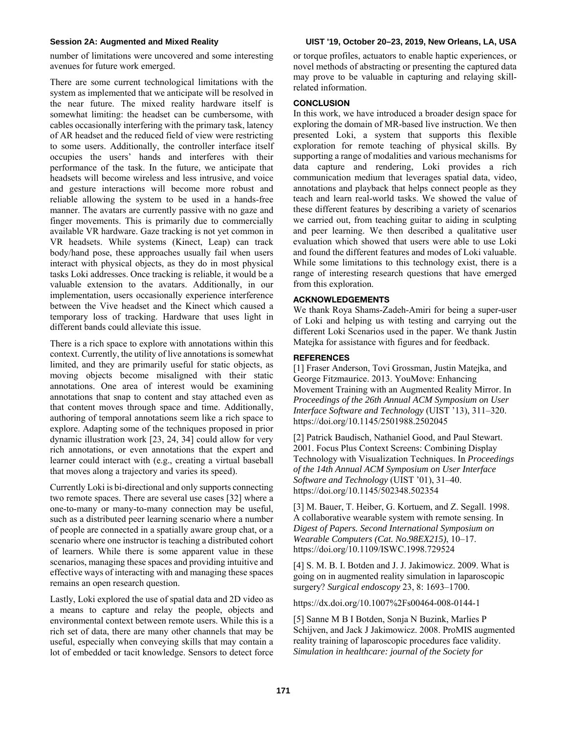number of limitations were uncovered and some interesting avenues for future work emerged.

 There are some current technological limitations with the the near future. The mixed reality hardware itself is of AR headset and the reduced field of view were restricting occupies the users' hands and interferes with their performance of the task. In the future, we anticipate that reliable allowing the system to be used in a hands-free manner. The avatars are currently passive with no gaze and finger movements. This is primarily due to commercially tasks Loki addresses. Once tracking is reliable, it would be a system as implemented that we anticipate will be resolved in somewhat limiting: the headset can be cumbersome, with cables occasionally interfering with the primary task, latency to some users. Additionally, the controller interface itself headsets will become wireless and less intrusive, and voice and gesture interactions will become more robust and available VR hardware. Gaze tracking is not yet common in VR headsets. While systems (Kinect, Leap) can track body/hand pose, these approaches usually fail when users interact with physical objects, as they do in most physical valuable extension to the avatars. Additionally, in our implementation, users occasionally experience interference between the Vive headset and the Kinect which caused a temporary loss of tracking. Hardware that uses light in different bands could alleviate this issue.

 There is a rich space to explore with annotations within this context. Currently, the utility of live annotations is somewhat limited, and they are primarily useful for static objects, as moving objects become misaligned with their static annotations. One area of interest would be examining annotations that snap to content and stay attached even as explore. Adapting some of the techniques proposed in prior dynamic illustration work [23, 24, 34] could allow for very learner could interact with (e.g., creating a virtual baseball that content moves through space and time. Additionally, authoring of temporal annotations seem like a rich space to rich annotations, or even annotations that the expert and that moves along a trajectory and varies its speed).

 one-to-many or many-to-many connection may be useful, scenario where one instructor is teaching a distributed cohort of learners. While there is some apparent value in these scenarios, managing these spaces and providing intuitive and remains an open research question. Currently Loki is bi-directional and only supports connecting two remote spaces. There are several use cases [32] where a such as a distributed peer learning scenario where a number of people are connected in a spatially aware group chat, or a effective ways of interacting with and managing these spaces

 Lastly, Loki explored the use of spatial data and 2D video as environmental context between remote users. While this is a useful, especially when conveying skills that may contain a lot of embedded or tacit knowledge. Sensors to detect force a means to capture and relay the people, objects and rich set of data, there are many other channels that may be

# **Session 2A: Augmented and Mixed Reality UIST '19, October 20–23, 2019, New Orleans, LA, USA**

 or torque profiles, actuators to enable haptic experiences, or may prove to be valuable in capturing and relaying skill- related information. novel methods of abstracting or presenting the captured data

# **CONCLUSION**

 presented Loki, a system that supports this flexible supporting a range of modalities and various mechanisms for data capture and rendering, Loki provides a rich communication medium that leverages spatial data, video, annotations and playback that helps connect people as they we carried out, from teaching guitar to aiding in sculpting and peer learning. We then described a qualitative user evaluation which showed that users were able to use Loki and found the different features and modes of Loki valuable. While some limitations to this technology exist, there is a range of interesting research questions that have emerged In this work, we have introduced a broader design space for exploring the domain of MR-based live instruction. We then exploration for remote teaching of physical skills. By teach and learn real-world tasks. We showed the value of these different features by describing a variety of scenarios from this exploration.

### **ACKNOWLEDGEMENTS**

 of Loki and helping us with testing and carrying out the different Loki Scenarios used in the paper. We thank Justin We thank Roya Shams-Zadeh-Amiri for being a super-user Matejka for assistance with figures and for feedback.

# **REFERENCES**

[1] Fraser Anderson, Tovi Grossman, Justin Matejka, and George Fitzmaurice. 2013. YouMove: Enhancing Movement Training with an Augmented Reality Mirror. In *Proceedings of the 26th Annual ACM Symposium on User Interface Software and Technology* (UIST '13), 311–320. <https://doi.org/10.1145/2501988.2502045>

[2] Patrick Baudisch, Nathaniel Good, and Paul Stewart. 2001. Focus Plus Context Screens: Combining Display Technology with Visualization Techniques. In *Proceedings of the 14th Annual ACM Symposium on User Interface Software and Technology* (UIST '01), 31–40. <https://doi.org/10.1145/502348.502354>

[3] M. Bauer, T. Heiber, G. Kortuem, and Z. Segall. 1998. A collaborative wearable system with remote sensing. In *Digest of Papers. Second International Symposium on Wearable Computers (Cat. No.98EX215)*, 10–17. <https://doi.org/10.1109/ISWC.1998.729524>

[4] S. M. B. I. Botden and J. J. Jakimowicz. 2009. What is going on in augmented reality simulation in laparoscopic surgery? *Surgical endoscopy* 23, 8: 1693–1700.

<https://dx.doi.org/10.1007%2Fs00464-008-0144-1>

 [5] Sanne M B I Botden, Sonja N Buzink, Marlies P Schijven, and Jack J Jakimowicz. 2008. ProMIS augmented reality training of laparoscopic procedures face validity. *Simulation in healthcare: journal of the Society for*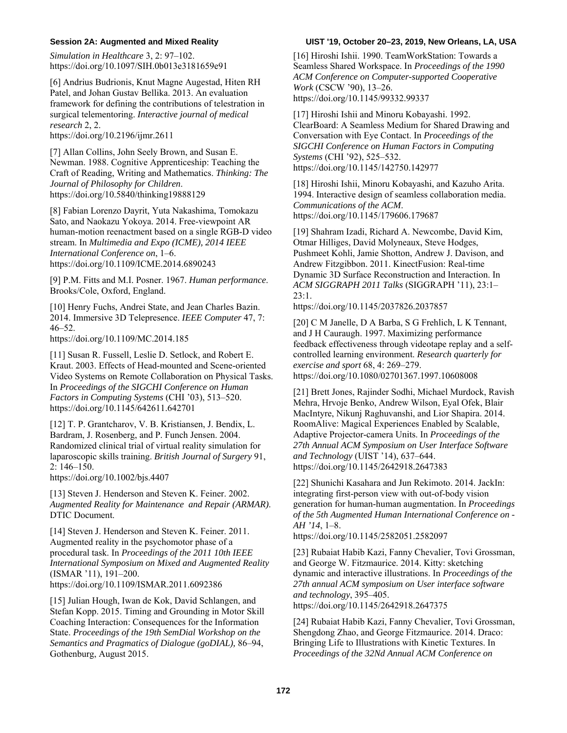*Simulation in Healthcare* 3, 2: 97–102. <https://doi.org/10.1097/SIH.0b013e3181659e91>

 Patel, and Johan Gustav Bellika. 2013. An evaluation framework for defining the contributions of telestration in  surgical telementoring. *Interactive journal of medical*  [6] Andrius Budrionis, Knut Magne Augestad, Hiten RH *research* 2, 2.

<https://doi.org/10.2196/ijmr.2611>

 Craft of Reading, Writing and Mathematics. *Thinking: The*  [7] Allan Collins, John Seely Brown, and Susan E. Newman. 1988. Cognitive Apprenticeship: Teaching the *Journal of Philosophy for Children*. <https://doi.org/10.5840/thinking19888129>

[8] Fabian Lorenzo Dayrit, Yuta Nakashima, Tomokazu Sato, and Naokazu Yokoya. 2014. Free-viewpoint AR human-motion reenactment based on a single RGB-D video stream. In *Multimedia and Expo (ICME), 2014 IEEE International Conference on*, 1–6. <https://doi.org/10.1109/ICME.2014.6890243>

[9] P.M. Fitts and M.I. Posner. 1967. *Human performance*. Brooks/Cole, Oxford, England.

[10] Henry Fuchs, Andrei State, and Jean Charles Bazin. 2014. Immersive 3D Telepresence. *IEEE Computer* 47, 7: 46–52.

<https://doi.org/10.1109/MC.2014.185>

[11] Susan R. Fussell, Leslie D. Setlock, and Robert E. Kraut. 2003. Effects of Head-mounted and Scene-oriented Video Systems on Remote Collaboration on Physical Tasks. In *Proceedings of the SIGCHI Conference on Human Factors in Computing Systems* (CHI '03), 513–520. <https://doi.org/10.1145/642611.642701>

 [12] T. P. Grantcharov, V. B. Kristiansen, J. Bendix, L. Bardram, J. Rosenberg, and P. Funch Jensen. 2004. Randomized clinical trial of virtual reality simulation for laparoscopic skills training. *British Journal of Surgery* 91, 2: 146–150.

<https://doi.org/10.1002/bjs.4407>

 DTIC Document. [13] Steven J. Henderson and Steven K. Feiner. 2002. *Augmented Reality for Maintenance and Repair (ARMAR)*.

 Augmented reality in the psychomotor phase of a  *International Symposium on Mixed and Augmented Reality*  [14] Steven J. Henderson and Steven K. Feiner. 2011. procedural task. In *Proceedings of the 2011 10th IEEE*  (ISMAR '11), 191–200. <https://doi.org/10.1109/ISMAR.2011.6092386>

[15] Julian Hough, Iwan de Kok, David Schlangen, and Stefan Kopp. 2015. Timing and Grounding in Motor Skill Coaching Interaction: Consequences for the Information State. *Proceedings of the 19th SemDial Workshop on the Semantics and Pragmatics of Dialogue (goDIAL),* 86–94, Gothenburg, August 2015.

# **Session 2A: Augmented and Mixed Reality UIST '19, October 20–23, 2019, New Orleans, LA, USA**

 Seamless Shared Workspace. In *Proceedings of the 1990*  [16] Hiroshi Ishii. 1990. TeamWorkStation: Towards a *ACM Conference on Computer-supported Cooperative Work* (CSCW '90), 13–26. <https://doi.org/10.1145/99332.99337>

[17] Hiroshi Ishii and Minoru Kobayashi. 1992.  *SIGCHI Conference on Human Factors in Computing*  ClearBoard: A Seamless Medium for Shared Drawing and Conversation with Eye Contact. In *Proceedings of the Systems* (CHI '92), 525–532. <https://doi.org/10.1145/142750.142977>

 [18] Hiroshi Ishii, Minoru Kobayashi, and Kazuho Arita. 1994. Interactive design of seamless collaboration media. *Communications of the ACM*. <https://doi.org/10.1145/179606.179687>

 [19] Shahram Izadi, Richard A. Newcombe, David Kim, Pushmeet Kohli, Jamie Shotton, Andrew J. Davison, and *ACM SIGGRAPH 2011 Talks* (SIGGRAPH '11), 23:1– Otmar Hilliges, David Molyneaux, Steve Hodges, Andrew Fitzgibbon. 2011. KinectFusion: Real-time Dynamic 3D Surface Reconstruction and Interaction. In 23:1.

<https://doi.org/10.1145/2037826.2037857>

[20] C M Janelle, D A Barba, S G Frehlich, L K Tennant, and J H Cauraugh. 1997. Maximizing performance feedback effectiveness through videotape replay and a selfcontrolled learning environment. *Research quarterly for exercise and sport* 68, 4: 269–279. <https://doi.org/10.1080/02701367.1997.10608008>

 Adaptive Projector-camera Units. In *Proceedings of the*  [21] Brett Jones, Rajinder Sodhi, Michael Murdock, Ravish Mehra, Hrvoje Benko, Andrew Wilson, Eyal Ofek, Blair MacIntyre, Nikunj Raghuvanshi, and Lior Shapira. 2014. RoomAlive: Magical Experiences Enabled by Scalable, *27th Annual ACM Symposium on User Interface Software and Technology* (UIST '14), 637–644. <https://doi.org/10.1145/2642918.2647383>

 generation for human-human augmentation. In *Proceedings of the 5th Augmented Human International Conference on -* [22] Shunichi Kasahara and Jun Rekimoto. 2014. JackIn: integrating first-person view with out-of-body vision *AH '14*, 1–8.

<https://doi.org/10.1145/2582051.2582097>

[23] Rubaiat Habib Kazi, Fanny Chevalier, Tovi Grossman, and George W. Fitzmaurice. 2014. Kitty: sketching dynamic and interactive illustrations. In *Proceedings of the 27th annual ACM symposium on User interface software and technology*, 395–405. <https://doi.org/10.1145/2642918.2647375>

[24] Rubaiat Habib Kazi, Fanny Chevalier, Tovi Grossman, Shengdong Zhao, and George Fitzmaurice. 2014. Draco: Bringing Life to Illustrations with Kinetic Textures. In *Proceedings of the 32Nd Annual ACM Conference on*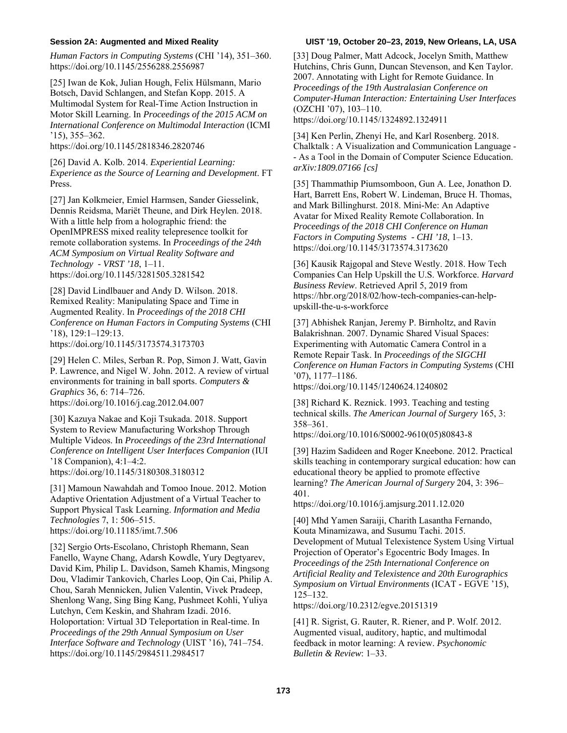*Human Factors in Computing Systems* (CHI '14), 351–360. <https://doi.org/10.1145/2556288.2556987>

[25] Iwan de Kok, Julian Hough, Felix Hülsmann, Mario Botsch, David Schlangen, and Stefan Kopp. 2015. A Multimodal System for Real-Time Action Instruction in Motor Skill Learning. In *Proceedings of the 2015 ACM on International Conference on Multimodal Interaction* (ICMI '15), 355–362.

<https://doi.org/10.1145/2818346.2820746>

[26] David A. Kolb. 2014. *Experiential Learning: Experience as the Source of Learning and Development*. FT Press.

 *ACM Symposium on Virtual Reality Software and Technology - VRST '18*, 1–11. [27] Jan Kolkmeier, Emiel Harmsen, Sander Giesselink, Dennis Reidsma, Mariët Theune, and Dirk Heylen. 2018. With a little help from a holographic friend: the OpenIMPRESS mixed reality telepresence toolkit for remote collaboration systems. In *Proceedings of the 24th*  <https://doi.org/10.1145/3281505.3281542>

[28] David Lindlbauer and Andy D. Wilson. 2018. Augmented Reality. In *Proceedings of the 2018 CHI*  Remixed Reality: Manipulating Space and Time in *Conference on Human Factors in Computing Systems* (CHI '18), 129:1–129:13. <https://doi.org/10.1145/3173574.3173703>

[29] Helen C. Miles, Serban R. Pop, Simon J. Watt, Gavin P. Lawrence, and Nigel W. John. 2012. A review of virtual environments for training in ball sports. *Computers & Graphics* 36, 6: 714–726.

<https://doi.org/10.1016/j.cag.2012.04.007>

 [30] Kazuya Nakae and Koji Tsukada. 2018. Support System to Review Manufacturing Workshop Through Multiple Videos. In *Proceedings of the 23rd International Conference on Intelligent User Interfaces Companion* (IUI '18 Companion), 4:1–4:2. <https://doi.org/10.1145/3180308.3180312>

[31] Mamoun Nawahdah and Tomoo Inoue. 2012. Motion Adaptive Orientation Adjustment of a Virtual Teacher to Support Physical Task Learning. *Information and Media Technologies* 7, 1: 506–515. <https://doi.org/10.11185/imt.7.506>

 Chou, Sarah Mennicken, Julien Valentin, Vivek Pradeep, [32] Sergio Orts-Escolano, Christoph Rhemann, Sean Fanello, Wayne Chang, Adarsh Kowdle, Yury Degtyarev, David Kim, Philip L. Davidson, Sameh Khamis, Mingsong Dou, Vladimir Tankovich, Charles Loop, Qin Cai, Philip A. Shenlong Wang, Sing Bing Kang, Pushmeet Kohli, Yuliya Lutchyn, Cem Keskin, and Shahram Izadi. 2016. Holoportation: Virtual 3D Teleportation in Real-time. In *Proceedings of the 29th Annual Symposium on User Interface Software and Technology* (UIST '16), 741–754. <https://doi.org/10.1145/2984511.2984517>

### **Session 2A: Augmented and Mixed Reality UIST '19, October 20–23, 2019, New Orleans, LA, USA**

 Hutchins, Chris Gunn, Duncan Stevenson, and Ken Taylor. [33] Doug Palmer, Matt Adcock, Jocelyn Smith, Matthew 2007. Annotating with Light for Remote Guidance. In *Proceedings of the 19th Australasian Conference on Computer-Human Interaction: Entertaining User Interfaces*  (OZCHI '07), 103–110.

<https://doi.org/10.1145/1324892.1324911>

 [34] Ken Perlin, Zhenyi He, and Karl Rosenberg. 2018. Chalktalk : A Visualization and Communication Language - - As a Tool in the Domain of Computer Science Education. *arXiv:1809.07166 [cs]* 

 *Proceedings of the 2018 CHI Conference on Human*  [35] Thammathip Piumsomboon, Gun A. Lee, Jonathon D. Hart, Barrett Ens, Robert W. Lindeman, Bruce H. Thomas, and Mark Billinghurst. 2018. Mini-Me: An Adaptive Avatar for Mixed Reality Remote Collaboration. In *Factors in Computing Systems - CHI '18*, 1–13. <https://doi.org/10.1145/3173574.3173620>

 *Business Review*. Retrieved April 5, 2019 from [36] Kausik Rajgopal and Steve Westly. 2018. How Tech Companies Can Help Upskill the U.S. Workforce. *Harvard*  <https://hbr.org/2018/02/how-tech-companies-can-help>upskill-the-u-s-workforce

 Experimenting with Automatic Camera Control in a  Remote Repair Task. In *Proceedings of the SIGCHI*  [37] Abhishek Ranjan, Jeremy P. Birnholtz, and Ravin Balakrishnan. 2007. Dynamic Shared Visual Spaces: *Conference on Human Factors in Computing Systems* (CHI '07), 1177–1186.

<https://doi.org/10.1145/1240624.1240802>

 technical skills. *The American Journal of Surgery* 165, 3: [38] Richard K. Reznick. 1993. Teaching and testing 358–361.

[https://doi.org/10.1016/S0002-9610\(05\)80843-8](https://doi.org/10.1016/S0002-9610(05)80843-8)

 401. [39] Hazim Sadideen and Roger Kneebone. 2012. Practical skills teaching in contemporary surgical education: how can educational theory be applied to promote effective learning? *The American Journal of Surgery* 204, 3: 396–

<https://doi.org/10.1016/j.amjsurg.2011.12.020>

 Kouta Minamizawa, and Susumu Tachi. 2015. Development of Mutual Telexistence System Using Virtual [40] Mhd Yamen Saraiji, Charith Lasantha Fernando, Projection of Operator's Egocentric Body Images. In *Proceedings of the 25th International Conference on Artificial Reality and Telexistence and 20th Eurographics Symposium on Virtual Environments* (ICAT - EGVE '15), 125–132.

<https://doi.org/10.2312/egve.20151319>

 *Bulletin & Review*: 1–33. [41] R. Sigrist, G. Rauter, R. Riener, and P. Wolf. 2012. Augmented visual, auditory, haptic, and multimodal feedback in motor learning: A review. *Psychonomic*